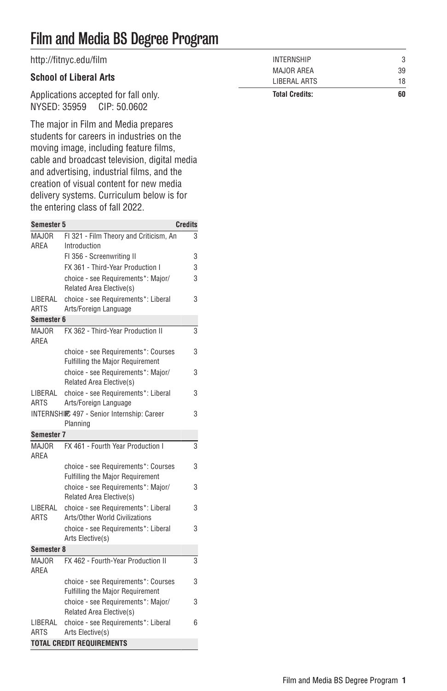## Film and Media BS Degree Program

| http://fitnyc.edu/film               | INTERNSHIP            | 3  |
|--------------------------------------|-----------------------|----|
|                                      | MAJOR AREA            | 39 |
| <b>School of Liberal Arts</b>        | LIBERAL ARTS          | 18 |
| Applications accepted for fall only. | <b>Total Credits:</b> | 60 |
| NYSED: 35959 CIP: 50.0602            |                       |    |

The major in Film and Media prepares students for careers in industries on the moving image, including feature films, cable and broadcast television, digital media and advertising, industrial films, and the creation of visual content for new media delivery systems. Curriculum below is for the entering class of fall 2022.

| <b>Semester 5</b>      |                                                                 | <b>Credits</b> |
|------------------------|-----------------------------------------------------------------|----------------|
| MAJOR                  | FI 321 - Film Theory and Criticism, An                          | 3              |
| AREA                   | Introduction                                                    |                |
|                        | FI 356 - Screenwriting II                                       | 3              |
|                        | FX 361 - Third-Year Production I                                | 3              |
|                        | choice - see Requirements*: Major/                              | 3              |
|                        | Related Area Elective(s)                                        |                |
| LIBERAL                | choice - see Requirements*: Liberal                             | 3              |
| <b>ARTS</b>            | Arts/Foreign Language                                           |                |
| Semester 6             |                                                                 |                |
| MAJOR<br>AREA          | FX 362 - Third-Year Production II                               | 3              |
|                        | choice - see Requirements*: Courses                             | 3              |
|                        | <b>Fulfilling the Major Requirement</b>                         |                |
|                        | choice - see Requirements*: Maior/                              | 3              |
|                        | Related Area Elective(s)                                        |                |
| LIBERAL                | choice - see Requirements*: Liberal                             | 3              |
| ARTS                   | Arts/Foreign Language                                           |                |
|                        | INTERNSHIIC 497 - Senior Internship: Career                     | 3              |
|                        | Planning                                                        |                |
| Semester 7             | FX 461 - Fourth Year Production I                               |                |
| MAJOR<br>AREA          |                                                                 | 3              |
|                        | choice - see Requirements*: Courses                             | 3              |
|                        | <b>Fulfilling the Major Requirement</b>                         |                |
|                        | choice - see Requirements*: Major/                              | 3              |
|                        | Related Area Elective(s)<br>choice - see Requirements*: Liberal |                |
| LIBERAL<br><b>ARTS</b> | Arts/Other World Civilizations                                  | 3              |
|                        | choice - see Requirements*: Liberal                             | 3              |
|                        | Arts Elective(s)                                                |                |
| Semester 8             |                                                                 |                |
| MAJOR                  | FX 462 - Fourth-Year Production II                              | 3              |
| AREA                   |                                                                 |                |
|                        | choice - see Requirements*: Courses                             | 3              |
|                        | <b>Fulfilling the Major Requirement</b>                         |                |
|                        | choice - see Requirements*: Major/                              | 3              |
|                        | Related Area Elective(s)                                        |                |
| LIBERAL                | choice - see Requirements*: Liberal                             | 6              |
| <b>ARTS</b>            | Arts Elective(s)                                                |                |
|                        | <b>TOTAL CREDIT REQUIREMENTS</b>                                |                |